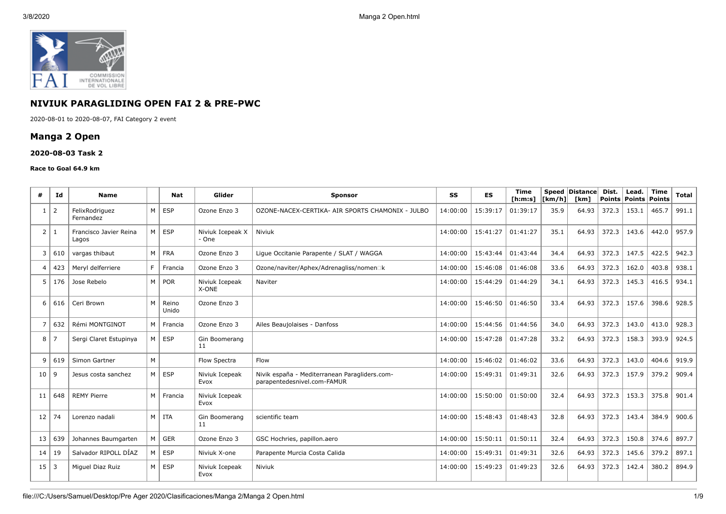

# **NIVIUK PARAGLIDING OPEN FAI 2 & PRE-PWC**

2020-08-01 to 2020-08-07, FAI Category 2 event

## **Manga 2 Open**

#### **2020-08-03 Task 2**

#### **Race to Goal 64.9 km**

| #                     | Id  | <b>Name</b>                     |   | Nat            | Glider                    | <b>Sponsor</b>                                                               | SS       | <b>ES</b> | <b>Time</b><br>[ <b>h</b> : <b>m</b> : <b>s</b> ] | [km/h] | Speed Distance<br>[km] | Dist. | Lead.<br>Points   Points | <b>Time</b><br>Points | <b>Total</b> |
|-----------------------|-----|---------------------------------|---|----------------|---------------------------|------------------------------------------------------------------------------|----------|-----------|---------------------------------------------------|--------|------------------------|-------|--------------------------|-----------------------|--------------|
| -1                    | 2   | FelixRodriguez<br>Fernandez     | M | <b>ESP</b>     | Ozone Enzo 3              | OZONE-NACEX-CERTIKA- AIR SPORTS CHAMONIX - JULBO                             | 14:00:00 | 15:39:17  | 01:39:17                                          | 35.9   | 64.93                  | 372.3 | 153.1                    | 465.7                 | 991.1        |
| 2                     | -1  | Francisco Javier Reina<br>Lagos | M | <b>ESP</b>     | Niviuk Icepeak X<br>- One | Niviuk                                                                       | 14:00:00 | 15:41:27  | 01:41:27                                          | 35.1   | 64.93                  | 372.3 | 143.6                    | 442.0                 | 957.9        |
| 3                     | 610 | vargas thibaut                  | M | <b>FRA</b>     | Ozone Enzo 3              | Ligue Occitanie Parapente / SLAT / WAGGA                                     | 14:00:00 | 15:43:44  | 01:43:44                                          | 34.4   | 64.93                  | 372.3 | 147.5                    | 422.5                 | 942.3        |
| $\boldsymbol{\Delta}$ | 423 | Mervl delferriere               | E | Francia        | Ozone Enzo 3              | Ozone/naviter/Aphex/Adrenagliss/nomen□k                                      | 14:00:00 | 15:46:08  | 01:46:08                                          | 33.6   | 64.93                  | 372.3 | 162.0                    | 403.8                 | 938.1        |
| 5                     | 176 | Jose Rebelo                     | M | <b>POR</b>     | Niviuk Icepeak<br>X-ONE   | Naviter                                                                      | 14:00:00 | 15:44:29  | 01:44:29                                          | 34.1   | 64.93                  | 372.3 | 145.3                    | 416.5                 | 934.1        |
| 6                     | 616 | Ceri Brown                      | M | Reino<br>Unido | Ozone Enzo 3              |                                                                              | 14:00:00 | 15:46:50  | 01:46:50                                          | 33.4   | 64.93                  | 372.3 | 157.6                    | 398.6                 | 928.5        |
|                       | 632 | Rémi MONTGINOT                  | M | Francia        | Ozone Enzo 3              | Ailes Beaujolaises - Danfoss                                                 | 14:00:00 | 15:44:56  | 01:44:56                                          | 34.0   | 64.93                  | 372.3 | 143.0                    | 413.0                 | 928.3        |
| 8                     | 7   | Sergi Claret Estupinya          | M | <b>ESP</b>     | Gin Boomerang<br>11       |                                                                              | 14:00:00 | 15:47:28  | 01:47:28                                          | 33.2   | 64.93                  | 372.3 | 158.3                    | 393.9                 | 924.5        |
| 9                     | 619 | Simon Gartner                   | M |                | Flow Spectra              | Flow                                                                         | 14:00:00 | 15:46:02  | 01:46:02                                          | 33.6   | 64.93                  | 372.3 | 143.0                    | 404.6                 | 919.9        |
| 10                    | -9  | Jesus costa sanchez             | M | <b>ESP</b>     | Niviuk Icepeak<br>Evox    | Nivik españa - Mediterranean Paragliders.com-<br>parapentedesnivel.com-FAMUR | 14:00:00 | 15:49:31  | 01:49:31                                          | 32.6   | 64.93                  | 372.3 | 157.9                    | 379.2                 | 909.4        |
| 11                    | 648 | <b>REMY Pierre</b>              | M | Francia        | Niviuk Icepeak<br>Evox    |                                                                              | 14:00:00 | 15:50:00  | 01:50:00                                          | 32.4   | 64.93                  | 372.3 | 153.3                    | 375.8                 | 901.4        |
| 12                    | 74  | Lorenzo nadali                  | M | <b>ITA</b>     | Gin Boomerang<br>11       | scientific team                                                              | 14:00:00 | 15:48:43  | 01:48:43                                          | 32.8   | 64.93                  | 372.3 | 143.4                    | 384.9                 | 900.6        |
| 13                    | 639 | Johannes Baumgarten             | M | <b>GER</b>     | Ozone Enzo 3              | GSC Hochries, papillon.aero                                                  | 14:00:00 | 15:50:11  | 01:50:11                                          | 32.4   | 64.93                  | 372.3 | 150.8                    | 374.6                 | 897.7        |
| 14                    | 19  | Salvador RIPOLL DÍAZ            | м | <b>ESP</b>     | Niviuk X-one              | Parapente Murcia Costa Calida                                                | 14:00:00 | 15:49:31  | 01:49:31                                          | 32.6   | 64.93                  | 372.3 | 145.6                    | 379.2                 | 897.1        |
| $15 \mid 3$           |     | Miguel Diaz Ruiz                | M | <b>ESP</b>     | Niviuk Icepeak<br>Evox    | Niviuk                                                                       | 14:00:00 | 15:49:23  | 01:49:23                                          | 32.6   | 64.93                  | 372.3 | 142.4                    | 380.2                 | 894.9        |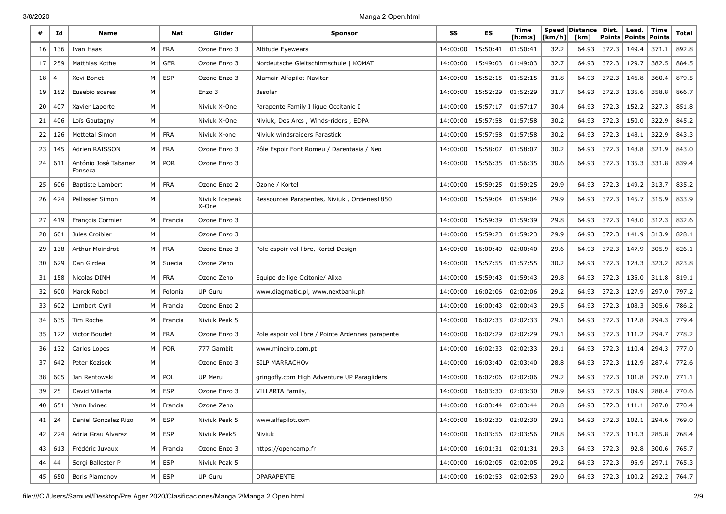| #  | Id  | Name                            |   | Nat        | Glider                  | <b>Sponsor</b>                                    | SS       | ES       | Time<br>[h:m:s] | Speed<br>[km/h] | <b>Distance</b><br>[km] | Dist.<br><b>Points</b> | Lead.<br><b>Points</b> | Time<br><b>Points</b> | Total |
|----|-----|---------------------------------|---|------------|-------------------------|---------------------------------------------------|----------|----------|-----------------|-----------------|-------------------------|------------------------|------------------------|-----------------------|-------|
| 16 | 136 | Ivan Haas                       | M | <b>FRA</b> | Ozone Enzo 3            | Altitude Eyewears                                 | 14:00:00 | 15:50:41 | 01:50:41        | 32.2            | 64.93                   | 372.3                  | 149.4                  | 371.1                 | 892.8 |
| 17 | 259 | Matthias Kothe                  | м | <b>GER</b> | Ozone Enzo 3            | Nordeutsche Gleitschirmschule   KOMAT             | 14:00:00 | 15:49:03 | 01:49:03        | 32.7            | 64.93                   | 372.3                  | 129.7                  | 382.5                 | 884.5 |
| 18 |     | Xevi Bonet                      | M | <b>ESP</b> | Ozone Enzo 3            | Alamair-Alfapilot-Naviter                         | 14:00:00 | 15:52:15 | 01:52:15        | 31.8            | 64.93                   | 372.3                  | 146.8                  | 360.4                 | 879.5 |
| 19 | 182 | Eusebio soares                  | M |            | Enzo 3                  | 3ssolar                                           | 14:00:00 | 15:52:29 | 01:52:29        | 31.7            | 64.93                   | 372.3                  | 135.6                  | 358.8                 | 866.7 |
| 20 | 407 | Xavier Laporte                  | M |            | Niviuk X-One            | Parapente Family I ligue Occitanie I              | 14:00:00 | 15:57:17 | 01:57:17        | 30.4            | 64.93                   | 372.3                  | 152.2                  | 327.3                 | 851.8 |
| 21 | 406 | Loïs Goutagny                   | M |            | Niviuk X-One            | Niviuk, Des Arcs, Winds-riders, EDPA              | 14:00:00 | 15:57:58 | 01:57:58        | 30.2            | 64.93                   | 372.3                  | 150.0                  | 322.9                 | 845.2 |
| 22 | 126 | Mettetal Simon                  | M | <b>FRA</b> | Niviuk X-one            | Niviuk windsraiders Parastick                     | 14:00:00 | 15:57:58 | 01:57:58        | 30.2            | 64.93                   | 372.3                  | 148.1                  | 322.9                 | 843.3 |
| 23 | 145 | Adrien RAISSON                  | M | <b>FRA</b> | Ozone Enzo 3            | Pôle Espoir Font Romeu / Darentasia / Neo         | 14:00:00 | 15:58:07 | 01:58:07        | 30.2            | 64.93                   | 372.3                  | 148.8                  | 321.9                 | 843.0 |
| 24 | 611 | António José Tabanez<br>Fonseca | M | <b>POR</b> | Ozone Enzo 3            |                                                   | 14:00:00 | 15:56:35 | 01:56:35        | 30.6            | 64.93                   | 372.3                  | 135.3                  | 331.8                 | 839.4 |
| 25 | 606 | <b>Baptiste Lambert</b>         | M | <b>FRA</b> | Ozone Enzo 2            | Ozone / Kortel                                    | 14:00:00 | 15:59:25 | 01:59:25        | 29.9            | 64.93                   | 372.3                  | 149.2                  | 313.7                 | 835.2 |
| 26 | 424 | Pellissier Simon                | M |            | Niviuk Icepeak<br>X-One | Ressources Parapentes, Niviuk, Orcienes1850       | 14:00:00 | 15:59:04 | 01:59:04        | 29.9            | 64.93                   | 372.3                  | 145.7                  | 315.9                 | 833.9 |
| 27 | 419 | François Cormier                | M | Francia    | Ozone Enzo 3            |                                                   | 14:00:00 | 15:59:39 | 01:59:39        | 29.8            | 64.93                   | 372.3                  | 148.0                  | 312.3                 | 832.6 |
| 28 | 601 | Jules Croibier                  | M |            | Ozone Enzo 3            |                                                   | 14:00:00 | 15:59:23 | 01:59:23        | 29.9            | 64.93                   | 372.3                  | 141.9                  | 313.9                 | 828.1 |
| 29 | 138 | Arthur Moindrot                 | M | <b>FRA</b> | Ozone Enzo 3            | Pole espoir vol libre, Kortel Design              | 14:00:00 | 16:00:40 | 02:00:40        | 29.6            | 64.93                   | 372.3                  | 147.9                  | 305.9                 | 826.1 |
| 30 | 629 | Dan Girdea                      | M | Suecia     | Ozone Zeno              |                                                   | 14:00:00 | 15:57:55 | 01:57:55        | 30.2            | 64.93                   | 372.3                  | 128.3                  | 323.2                 | 823.8 |
| 31 | 158 | Nicolas DINH                    | M | <b>FRA</b> | Ozone Zeno              | Equipe de lige Ocitonie/ Alixa                    | 14:00:00 | 15:59:43 | 01:59:43        | 29.8            | 64.93                   | 372.3                  | 135.0                  | 311.8                 | 819.1 |
| 32 | 600 | Marek Robel                     | М | Polonia    | <b>UP Guru</b>          | www.diagmatic.pl, www.nextbank.ph                 | 14:00:00 | 16:02:06 | 02:02:06        | 29.2            | 64.93                   | 372.3                  | 127.9                  | 297.0                 | 797.2 |
| 33 | 602 | Lambert Cyril                   | м | Francia    | Ozone Enzo 2            |                                                   | 14:00:00 | 16:00:43 | 02:00:43        | 29.5            | 64.93                   | 372.3                  | 108.3                  | 305.6                 | 786.2 |
| 34 | 635 | Tim Roche                       | M | Francia    | Niviuk Peak 5           |                                                   | 14:00:00 | 16:02:33 | 02:02:33        | 29.1            | 64.93                   | 372.3                  | 112.8                  | 294.3                 | 779.4 |
| 35 | 122 | Victor Boudet                   | M | <b>FRA</b> | Ozone Enzo 3            | Pole espoir vol libre / Pointe Ardennes parapente | 14:00:00 | 16:02:29 | 02:02:29        | 29.1            | 64.93                   | 372.3                  | 111.2                  | 294.7                 | 778.2 |
| 36 | 132 | Carlos Lopes                    | M | <b>POR</b> | 777 Gambit              | www.mineiro.com.pt                                | 14:00:00 | 16:02:33 | 02:02:33        | 29.1            | 64.93                   | 372.3                  | 110.4                  | 294.3                 | 777.0 |
| 37 | 642 | Peter Kozisek                   | М |            | Ozone Enzo 3            | SILP MARRACHOV                                    | 14:00:00 | 16:03:40 | 02:03:40        | 28.8            | 64.93                   | 372.3                  | 112.9                  | 287.4                 | 772.6 |
| 38 | 605 | Jan Rentowski                   | M | POL        | UP Meru                 | gring ofly.com High Adventure UP Paragliders      | 14:00:00 | 16:02:06 | 02:02:06        | 29.2            | 64.93                   | 372.3                  | 101.8                  | 297.0                 | 771.1 |
| 39 | 25  | David Villarta                  | M | <b>ESP</b> | Ozone Enzo 3            | VILLARTA Family,                                  | 14:00:00 | 16:03:30 | 02:03:30        | 28.9            | 64.93                   | 372.3                  | 109.9                  | 288.4                 | 770.6 |
| 40 | 651 | Yann livinec                    | м | Francia    | Ozone Zeno              |                                                   | 14:00:00 | 16:03:44 | 02:03:44        | 28.8            | 64.93                   | 372.3                  | 111.1                  | 287.0                 | 770.4 |
| 41 | 24  | Daniel Gonzalez Rizo            | M | ESP        | Niviuk Peak 5           | www.alfapilot.com                                 | 14:00:00 | 16:02:30 | 02:02:30        | 29.1            | 64.93                   | 372.3                  | 102.1                  | 294.6                 | 769.0 |
| 42 | 224 | Adria Grau Alvarez              | M | ESP        | Niviuk Peak5            | Niviuk                                            | 14:00:00 | 16:03:56 | 02:03:56        | 28.8            | 64.93                   | 372.3                  | 110.3                  | 285.8                 | 768.4 |
| 43 | 613 | Frédéric Juvaux                 | M | Francia    | Ozone Enzo 3            | https://opencamp.fr                               | 14:00:00 | 16:01:31 | 02:01:31        | 29.3            | 64.93                   | 372.3                  | 92.8                   | 300.6                 | 765.7 |
| 44 | 44  | Sergi Ballester Pi              | M | <b>ESP</b> | Niviuk Peak 5           |                                                   | 14:00:00 | 16:02:05 | 02:02:05        | 29.2            | 64.93                   | 372.3                  | 95.9                   | 297.1                 | 765.3 |
| 45 | 650 | <b>Boris Plamenov</b>           | M | <b>ESP</b> | UP Guru                 | DPARAPENTE                                        | 14:00:00 | 16:02:53 | 02:02:53        | 29.0            | 64.93                   | 372.3                  | 100.2                  | 292.2                 | 764.7 |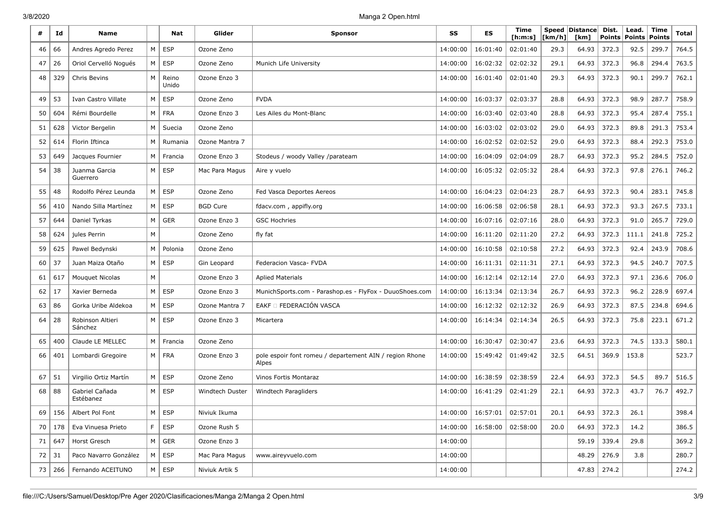| #            | Id       | <b>Name</b>                 |                | Nat            | Glider          | <b>Sponsor</b>                                                   | SS       | <b>ES</b>                      | Time<br>[h:m:s] | [km/h] | Speed   Distance  <br>[km] | Dist.<br><b>Points</b> | Lead.<br>Points | Time<br>Points | Total |
|--------------|----------|-----------------------------|----------------|----------------|-----------------|------------------------------------------------------------------|----------|--------------------------------|-----------------|--------|----------------------------|------------------------|-----------------|----------------|-------|
| 46           | 66       | Andres Agredo Perez         | M              | <b>ESP</b>     | Ozone Zeno      |                                                                  | 14:00:00 | 16:01:40                       | 02:01:40        | 29.3   | 64.93                      | 372.3                  | 92.5            | 299.7          | 764.5 |
| 47           | 26       | Oriol Cervelló Nogués       |                | $M \vert$ ESP  | Ozone Zeno      | Munich Life University                                           | 14:00:00 | 16:02:32                       | 02:02:32        | 29.1   | 64.93                      | 372.3                  | 96.8            | 294.4          | 763.5 |
| 48           | 329      | Chris Bevins                | M              | Reino<br>Unido | Ozone Enzo 3    |                                                                  | 14:00:00 | 16:01:40                       | 02:01:40        | 29.3   | 64.93                      | 372.3                  | 90.1            | 299.7          | 762.1 |
| 49           | 53       | Ivan Castro Villate         | M              | <b>ESP</b>     | Ozone Zeno      | <b>FVDA</b>                                                      | 14:00:00 | 16:03:37                       | 02:03:37        | 28.8   | 64.93                      | 372.3                  | 98.9            | 287.7          | 758.9 |
| 50           | 604      | Rémi Bourdelle              | M <sub>1</sub> | FRA            | Ozone Enzo 3    | Les Ailes du Mont-Blanc                                          | 14:00:00 | 16:03:40                       | 02:03:40        | 28.8   | 64.93                      | 372.3                  | 95.4            | 287.4          | 755.1 |
| 51           | 628      | Victor Bergelin             | М              | Suecia         | Ozone Zeno      |                                                                  | 14:00:00 | 16:03:02                       | 02:03:02        | 29.0   | 64.93                      | 372.3                  | 89.8            | 291.3          | 753.4 |
| 52           | 614      | Florin Iftinca              | M              | Rumania        | Ozone Mantra 7  |                                                                  | 14:00:00 | 16:02:52                       | 02:02:52        | 29.0   | 64.93                      | 372.3                  | 88.4            | 292.3          | 753.0 |
| 53           | 649      | Jacques Fournier            |                | M   Francia    | Ozone Enzo 3    | Stodeus / woody Valley /parateam                                 | 14:00:00 | 16:04:09                       | 02:04:09        | 28.7   | 64.93                      | 372.3                  | 95.2            | 284.5          | 752.0 |
| 54           | 38       | Juanma Garcia<br>Guerrero   | M              | <b>ESP</b>     | Mac Para Magus  | Aire y vuelo                                                     | 14:00:00 | 16:05:32                       | 02:05:32        | 28.4   | 64.93                      | 372.3                  | 97.8            | 276.1          | 746.2 |
| 55           | 48       | Rodolfo Pérez Leunda        | M              | <b>ESP</b>     | Ozone Zeno      | Fed Vasca Deportes Aereos                                        | 14:00:00 | 16:04:23                       | 02:04:23        | 28.7   | 64.93                      | 372.3                  | 90.4            | 283.1          | 745.8 |
| 56           | 410      | Nando Silla Martínez        |                | $M \vert$ ESP  | <b>BGD Cure</b> | fdacv.com, appifly.org                                           | 14:00:00 | 16:06:58                       | 02:06:58        | 28.1   | 64.93                      | 372.3                  | 93.3            | 267.5          | 733.1 |
| 57           | 644      | Daniel Tyrkas               | M              | <b>GER</b>     | Ozone Enzo 3    | <b>GSC Hochries</b>                                              | 14:00:00 | 16:07:16                       | 02:07:16        | 28.0   | 64.93                      | 372.3                  | 91.0            | 265.7          | 729.0 |
| 58           | 624      | jules Perrin                | M              |                | Ozone Zeno      | fly fat                                                          | 14:00:00 | 16:11:20                       | 02:11:20        | 27.2   | 64.93                      | 372.3                  | 111.1           | 241.8          | 725.2 |
| 59           | 625      | Pawel Bedynski              | M              | Polonia        | Ozone Zeno      |                                                                  | 14:00:00 | 16:10:58                       | 02:10:58        | 27.2   | 64.93                      | 372.3                  | 92.4            | 243.9          | 708.6 |
| 60           | 37       | Juan Maiza Otaño            | M              | <b>ESP</b>     | Gin Leopard     | Federacion Vasca- FVDA                                           | 14:00:00 | 16:11:31                       | 02:11:31        | 27.1   | 64.93                      | 372.3                  | 94.5            | 240.7          | 707.5 |
| 61           | 617      | Mouquet Nicolas             | М              |                | Ozone Enzo 3    | <b>Aplied Materials</b>                                          | 14:00:00 | 16:12:14                       | 02:12:14        | 27.0   | 64.93                      | 372.3                  | 97.1            | 236.6          | 706.0 |
| 62           | 17       | Xavier Berneda              | M <sub>1</sub> | <b>ESP</b>     | Ozone Enzo 3    | MunichSports.com - Parashop.es - FlyFox - DuuoShoes.com          | 14:00:00 | 16:13:34                       | 02:13:34        | 26.7   | 64.93                      | 372.3                  | 96.2            | 228.9          | 697.4 |
| 63           | 86       | Gorka Uribe Aldekoa         | M <sub>1</sub> | <b>ESP</b>     | Ozone Mantra 7  | EAKF O FEDERACIÓN VASCA                                          | 14:00:00 | 16:12:32                       | 02:12:32        | 26.9   | 64.93                      | 372.3                  | 87.5            | 234.8          | 694.6 |
| 64           | 28       | Robinson Altieri<br>Sánchez |                | $M \mid ESP$   | Ozone Enzo 3    | Micartera                                                        | 14:00:00 | 16:14:34                       | 02:14:34        | 26.5   | 64.93                      | 372.3                  | 75.8            | 223.1          | 671.2 |
| 65           | 400      | Claude LE MELLEC            | M              | Francia        | Ozone Zeno      |                                                                  | 14:00:00 | 16:30:47                       | 02:30:47        | 23.6   | 64.93                      | 372.3                  | 74.5            | 133.3          | 580.1 |
| 66           | 401      | Lombardi Gregoire           | M <sub>1</sub> | FRA            | Ozone Enzo 3    | pole espoir font romeu / departement AIN / region Rhone<br>Alpes | 14:00:00 | 15:49:42                       | 01:49:42        | 32.5   | 64.51                      | 369.9                  | 153.8           |                | 523.7 |
| 67           | 51       | Virgilio Ortiz Martín       | M              | <b>ESP</b>     | Ozone Zeno      | Vinos Fortis Montaraz                                            | 14:00:00 | 16:38:59                       | 02:38:59        | 22.4   | 64.93                      | 372.3                  | 54.5            | 89.7           | 516.5 |
| 68           | 88       | Gabriel Cañada<br>Estébanez |                | $M \vert$ ESP  | Windtech Duster | Windtech Paragliders                                             | 14:00:00 | 16:41:29                       | 02:41:29        | 22.1   | 64.93                      | 372.3                  | 43.7            | 76.7           | 492.7 |
|              |          | 69   156   Albert Pol Font  |                | $M \vert$ ESP  | Niviuk Ikuma    |                                                                  |          | 14:00:00   16:57:01   02:57:01 |                 | 20.1   |                            | $64.93$ 372.3          | 26.1            |                | 398.4 |
|              | 70   178 | Eva Vinuesa Prieto          |                | F   ESP        | Ozone Rush 5    |                                                                  | 14:00:00 | 16:58:00                       | 02:58:00        | 20.0   |                            | $64.93$ 372.3          | 14.2            |                | 386.5 |
|              | 71   647 | Horst Gresch                |                | $M \vert$ GER  | Ozone Enzo 3    |                                                                  | 14:00:00 |                                |                 |        | 59.19 339.4                |                        | 29.8            |                | 369.2 |
| $72 \mid 31$ |          | Paco Navarro González       |                | $M \vert$ ESP  | Mac Para Magus  | www.aireyvuelo.com                                               | 14:00:00 |                                |                 |        | 48.29                      | 276.9                  | 3.8             |                | 280.7 |
|              | 73   266 | Fernando ACEITUNO           |                | $M \vert$ ESP  | Niviuk Artik 5  |                                                                  | 14:00:00 |                                |                 |        | $47.83$   274.2            |                        |                 |                | 274.2 |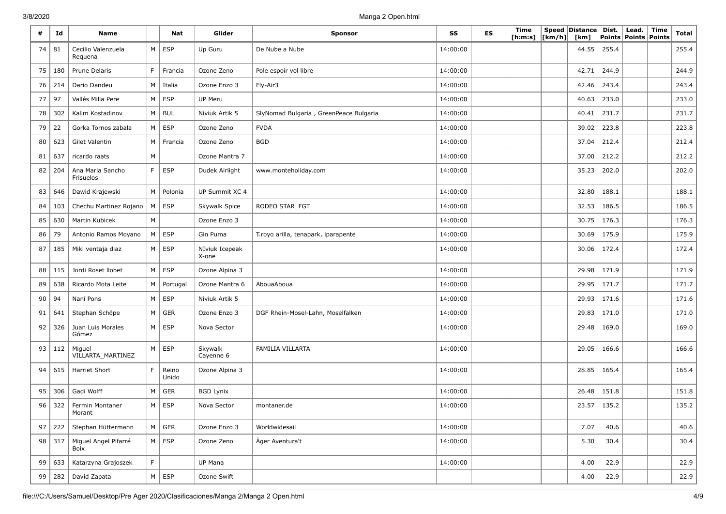| #  | Id       | <b>Name</b>                   |             | Nat            | Glider                  | <b>Sponsor</b>                         | SS       | ES | Time<br>[h:m:s] | [km/h] | Speed Distance<br>[km] | Dist.<br><b>Points</b> | Lead.<br>Points   Points | Time | <b>Total</b> |
|----|----------|-------------------------------|-------------|----------------|-------------------------|----------------------------------------|----------|----|-----------------|--------|------------------------|------------------------|--------------------------|------|--------------|
| 74 | 81       | Cecilio Valenzuela<br>Requena | M           | <b>ESP</b>     | Up Guru                 | De Nube a Nube                         | 14:00:00 |    |                 |        | 44.55                  | 255.4                  |                          |      | 255.4        |
| 75 | 180      | Prune Delaris                 | F           | Francia        | Ozone Zeno              | Pole espoir vol libre                  | 14:00:00 |    |                 |        | 42.71                  | 244.9                  |                          |      | 244.9        |
| 76 | 214      | Dario Dandeu                  | M           | Italia         | Ozone Enzo 3            | Fly-Air3                               | 14:00:00 |    |                 |        | 42.46                  | 243.4                  |                          |      | 243.4        |
| 77 | 97       | Vallés Milla Pere             | M           | ESP            | UP Meru                 |                                        | 14:00:00 |    |                 |        | 40.63                  | 233.0                  |                          |      | 233.0        |
| 78 | 302      | Kalim Kostadinov              | $M \mid$    | <b>BUL</b>     | Niviuk Artik 5          | SlyNomad Bulgaria, GreenPeace Bulgaria | 14:00:00 |    |                 |        | 40.41                  | 231.7                  |                          |      | 231.7        |
| 79 | 22       | Gorka Tornos zabala           | M           | ESP            | Ozone Zeno              | <b>FVDA</b>                            | 14:00:00 |    |                 |        | 39.02                  | 223.8                  |                          |      | 223.8        |
| 80 | 623      | Gilet Valentin                |             | M Francia      | Ozone Zeno              | <b>BGD</b>                             | 14:00:00 |    |                 |        | 37.04                  | 212.4                  |                          |      | 212.4        |
| 81 | 637      | ricardo raats                 | M           |                | Ozone Mantra 7          |                                        | 14:00:00 |    |                 |        | 37.00                  | 212.2                  |                          |      | 212.2        |
| 82 | 204      | Ana Maria Sancho<br>Frisuelos | F           | <b>ESP</b>     | Dudek Airlight          | www.monteholiday.com                   | 14:00:00 |    |                 |        | 35.23                  | 202.0                  |                          |      | 202.0        |
| 83 | 646      | Dawid Krajewski               | M           | Polonia        | UP Summit XC 4          |                                        | 14:00:00 |    |                 |        | 32.80                  | 188.1                  |                          |      | 188.1        |
| 84 | 103      | Chechu Martinez Rojano        | M           | <b>ESP</b>     | Skywalk Spice           | RODEO STAR FGT                         | 14:00:00 |    |                 |        | 32.53                  | 186.5                  |                          |      | 186.5        |
| 85 | 630      | Martin Kubicek                | M           |                | Ozone Enzo 3            |                                        | 14:00:00 |    |                 |        | 30.75                  | 176.3                  |                          |      | 176.3        |
| 86 | 79       | Antonio Ramos Moyano          | M           | <b>ESP</b>     | Gin Puma                | T.royo arilla, tenapark, iparapente    | 14:00:00 |    |                 |        | 30.69                  | 175.9                  |                          |      | 175.9        |
| 87 | 185      | Miki ventaja diaz             |             | $M \vert$ ESP  | NIviuk Icepeak<br>X-one |                                        | 14:00:00 |    |                 |        | 30.06                  | 172.4                  |                          |      | 172.4        |
| 88 | 115      | Jordi Roset Ilobet            | M           | ESP            | Ozone Alpina 3          |                                        | 14:00:00 |    |                 |        | 29.98                  | 171.9                  |                          |      | 171.9        |
| 89 | 638      | Ricardo Mota Leite            | M           | Portugal       | Ozone Mantra 6          | AbouaAboua                             | 14:00:00 |    |                 |        | 29.95                  | 171.7                  |                          |      | 171.7        |
| 90 | 94       | Nani Pons                     | M           | <b>ESP</b>     | Niviuk Artik 5          |                                        | 14:00:00 |    |                 |        | 29.93                  | 171.6                  |                          |      | 171.6        |
| 91 | 641      | Stephan Schöpe                | M           | GER            | Ozone Enzo 3            | DGF Rhein-Mosel-Lahn, Moselfalken      | 14:00:00 |    |                 |        | 29.83                  | 171.0                  |                          |      | 171.0        |
| 92 | 326      | Juan Luis Morales<br>Gómez    | M           | ESP            | Nova Sector             |                                        | 14:00:00 |    |                 |        | 29.48                  | 169.0                  |                          |      | 169.0        |
| 93 | 112      | Miguel<br>VILLARTA_MARTINEZ   | M           | <b>ESP</b>     | Skywalk<br>Cayenne 6    | FAMILIA VILLARTA                       | 14:00:00 |    |                 |        | 29.05                  | 166.6                  |                          |      | 166.6        |
| 94 | 615      | Harriet Short                 | F           | Reino<br>Unido | Ozone Alpina 3          |                                        | 14:00:00 |    |                 |        | 28.85                  | 165.4                  |                          |      | 165.4        |
| 95 | 306      | Gadi Wolff                    | M           | GER            | <b>BGD Lynix</b>        |                                        | 14:00:00 |    |                 |        | 26.48                  | 151.8                  |                          |      | 151.8        |
| 96 | 322      | Fermin Montaner<br>Morant     | M           | <b>ESP</b>     | Nova Sector             | montaner.de                            | 14:00:00 |    |                 |        | 23.57                  | 135.2                  |                          |      | 135.2        |
| 97 | 222      | Stephan Hüttermann            |             | $M \vert$ GER  | Ozone Enzo 3            | Worldwidesail                          | 14:00:00 |    |                 |        | 7.07                   | 40.6                   |                          |      | 40.6         |
|    | $98$ 317 | Miquel Angel Pifarré<br>Boix  |             | $M \vert$ ESP  | Ozone Zeno              | Àger Aventura't                        | 14:00:00 |    |                 |        | 5.30                   | 30.4                   |                          |      | 30.4         |
| 99 | 633      | Katarzyna Grajoszek           | $\mathsf F$ |                | UP Mana                 |                                        | 14:00:00 |    |                 |        | 4.00                   | 22.9                   |                          |      | 22.9         |
| 99 | 282      | David Zapata                  |             | $M \vert$ ESP  | Ozone Swift             |                                        |          |    |                 |        | 4.00                   | 22.9                   |                          |      | 22.9         |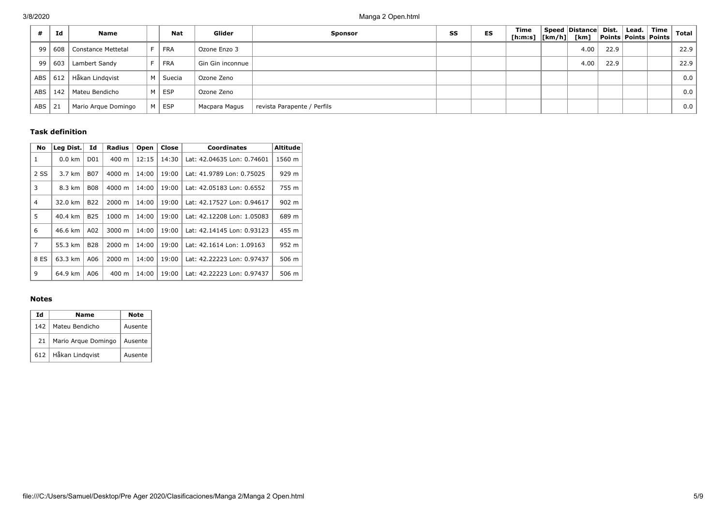|            | Id  | Name                     |   | <b>Nat</b> | Glider           | <b>Sponsor</b>              | SS | ES | <b>Time</b><br>[h:m:s]  [km/h]  [km] | Speed Distance Dist. |      | $\lfloor$ Lead. $\lfloor$ | Time<br><b>Points Points Points</b> | <b>Total</b> |
|------------|-----|--------------------------|---|------------|------------------|-----------------------------|----|----|--------------------------------------|----------------------|------|---------------------------|-------------------------------------|--------------|
| 99         |     | 608   Constance Mettetal | E | FRA        | Ozone Enzo 3     |                             |    |    |                                      | 4.00                 | 22.9 |                           |                                     | 22.9         |
| 99         | 603 | Lambert Sandy            |   | FRA        | Gin Gin inconnue |                             |    |    |                                      | 4.00                 | 22.9 |                           |                                     | 22.9         |
| <b>ABS</b> | 612 | Håkan Lindgvist          |   | M   Suecia | Ozone Zeno       |                             |    |    |                                      |                      |      |                           |                                     | 0.0          |
| <b>ABS</b> | 142 | Mateu Bendicho           |   | M   ESP    | Ozone Zeno       |                             |    |    |                                      |                      |      |                           |                                     | 0.0          |
| <b>ABS</b> | 21  | Mario Argue Domingo      |   | M ESP      | Macpara Magus    | revista Parapente / Perfils |    |    |                                      |                      |      |                           |                                     | 0.0          |

### **Task definition**

| No             | Leg Dist.        | Id               | <b>Radius</b> | Open  | Close | <b>Coordinates</b>         | Altitude |
|----------------|------------------|------------------|---------------|-------|-------|----------------------------|----------|
| 1              | $0.0 \text{ km}$ | D <sub>0</sub> 1 | 400 m         | 12:15 | 14:30 | Lat: 42.04635 Lon: 0.74601 | 1560 m   |
| 2 SS           | 3.7 km           | <b>B07</b>       | 4000 m        | 14:00 | 19:00 | Lat: 41.9789 Lon: 0.75025  | 929 m    |
| 3              | 8.3 km           | <b>B08</b>       | 4000 m        | 14:00 | 19:00 | Lat: 42.05183 Lon: 0.6552  | 755 m    |
| $\overline{4}$ | 32.0 km          | <b>B22</b>       | 2000 m        | 14:00 | 19:00 | Lat: 42.17527 Lon: 0.94617 | 902 m    |
| 5              | 40.4 km          | <b>B25</b>       | 1000 m        | 14:00 | 19:00 | Lat: 42.12208 Lon: 1.05083 | 689 m    |
| 6              | 46.6 km          | A02              | 3000 m        | 14:00 | 19:00 | Lat: 42.14145 Lon: 0.93123 | 455 m    |
| 7              | 55.3 km          | <b>B28</b>       | 2000 m        | 14:00 | 19:00 | Lat: 42.1614 Lon: 1.09163  | 952 m    |
| 8 ES           | 63.3 km          | A06              | 2000 m        | 14:00 | 19:00 | Lat: 42.22223 Lon: 0.97437 | 506 m    |
| 9              | 64.9 km          | A06              | 400 m         | 14:00 | 19:00 | Lat: 42.22223 Lon: 0.97437 | 506 m    |

### **Notes**

| Ιd  | Name                |         |  |  |  |  |
|-----|---------------------|---------|--|--|--|--|
| 142 | Mateu Bendicho      | Ausente |  |  |  |  |
| 21  | Mario Arque Domingo | Ausente |  |  |  |  |
| 612 | Håkan Lindgvist     | Ausente |  |  |  |  |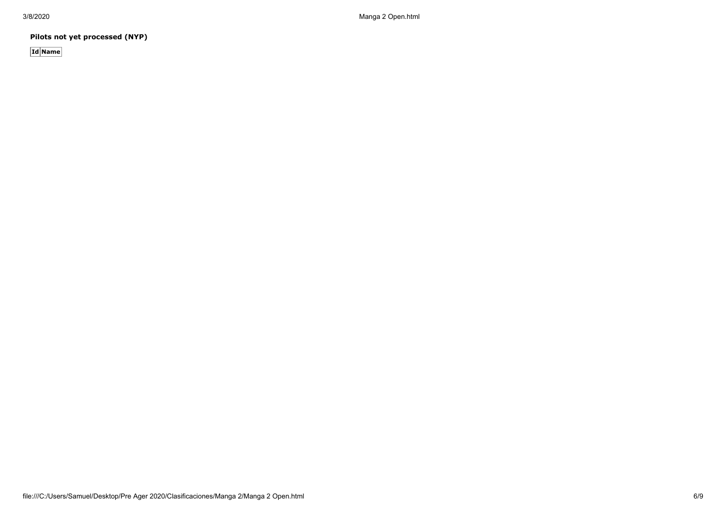**Pilots not yet processed (NYP)**

**Id Name**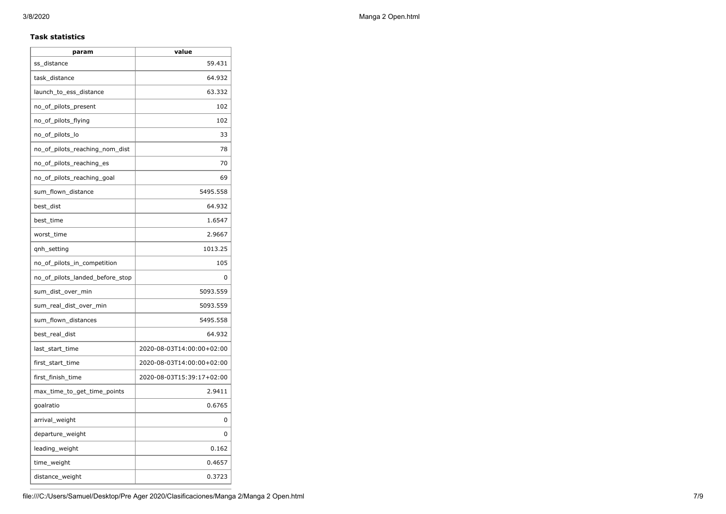### **Task statistics**

| param                           | value                     |
|---------------------------------|---------------------------|
| ss_distance                     | 59.431                    |
| task_distance                   | 64.932                    |
| launch_to_ess_distance          | 63.332                    |
| no_of_pilots_present            | 102                       |
| no_of_pilots_flying             | 102                       |
| no_of_pilots_lo                 | 33                        |
| no_of_pilots_reaching_nom_dist  | 78                        |
| no_of_pilots_reaching_es        | 70                        |
| no_of_pilots_reaching_goal      | 69                        |
| sum_flown_distance              | 5495.558                  |
| best_dist                       | 64.932                    |
| best time                       | 1.6547                    |
| worst_time                      | 2.9667                    |
| qnh_setting                     | 1013.25                   |
| no_of_pilots_in_competition     | 105                       |
| no_of_pilots_landed_before_stop | 0                         |
| sum_dist_over_min               | 5093.559                  |
| sum_real_dist_over_min          | 5093.559                  |
| sum_flown_distances             | 5495.558                  |
| best_real_dist                  | 64.932                    |
| last_start_time                 | 2020-08-03T14:00:00+02:00 |
| first_start_time                | 2020-08-03T14:00:00+02:00 |
| first_finish_time               | 2020-08-03T15:39:17+02:00 |
| max_time_to_get_time_points     | 2.9411                    |
| goalratio                       | 0.6765                    |
| arrival_weight                  | 0                         |
| departure_weight                | 0                         |
| leading_weight                  | 0.162                     |
| time_weight                     | 0.4657                    |
| distance_weight                 | 0.3723                    |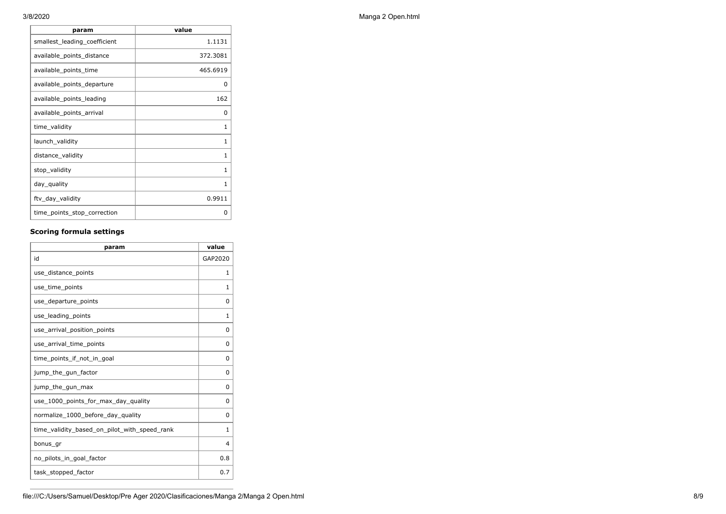| value    |
|----------|
| 1.1131   |
| 372.3081 |
| 465.6919 |
| 0        |
| 162      |
| 0        |
| 1        |
| 1        |
| 1        |
| 1        |
| 1        |
| 0.9911   |
| O        |
|          |

## **Scoring formula settings**

| param                                        | value    |
|----------------------------------------------|----------|
| id                                           | GAP2020  |
| use_distance_points                          | 1        |
| use_time_points                              | 1        |
| use departure points                         | $\Omega$ |
| use_leading_points                           | 1        |
| use arrival position points                  | $\Omega$ |
| use_arrival_time_points                      | 0        |
| time points if not in goal                   | $\Omega$ |
| jump_the_gun_factor                          | $\Omega$ |
| jump_the_gun_max                             | 0        |
| use_1000_points_for_max_day_quality          | $\Omega$ |
| normalize_1000_before_day_quality            | $\Omega$ |
| time_validity_based_on_pilot_with_speed_rank | 1        |
| bonus_gr                                     | 4        |
| no_pilots_in_goal_factor                     | 0.8      |
| task_stopped_factor                          | 0.7      |